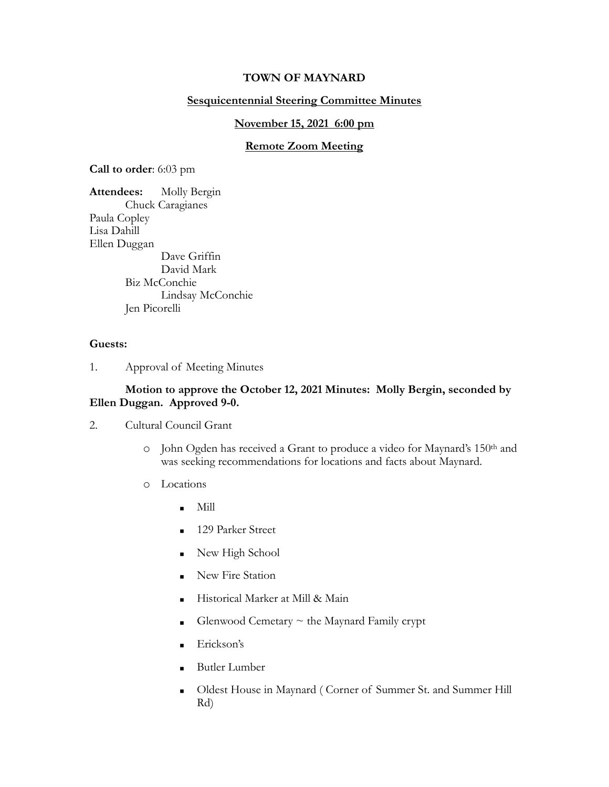## **TOWN OF MAYNARD**

# **Sesquicentennial Steering Committee Minutes**

#### **November 15, 2021 6:00 pm**

## **Remote Zoom Meeting**

**Call to order**: 6:03 pm

**Attendees:** Molly Bergin Chuck Caragianes Paula Copley Lisa Dahill Ellen Duggan Dave Griffin David Mark Biz McConchie Lindsay McConchie Jen Picorelli

#### **Guests:**

1. Approval of Meeting Minutes

#### **Motion to approve the October 12, 2021 Minutes: Molly Bergin, seconded by Ellen Duggan. Approved 9-0.**

- 2. Cultural Council Grant
	- o John Ogden has received a Grant to produce a video for Maynard's 150<sup>th</sup> and was seeking recommendations for locations and facts about Maynard.
	- o Locations
		- $\blacksquare$  Mill
		- **129 Parker Street**
		- $\blacksquare$  New High School
		- **Example 3** New Fire Station
		- Historical Marker at Mill & Main
		- Glenwood Cemetary  $\sim$  the Maynard Family crypt
		- Erickson's
		- **Butler Lumber**
		- **.** Oldest House in Maynard ( Corner of Summer St. and Summer Hill Rd)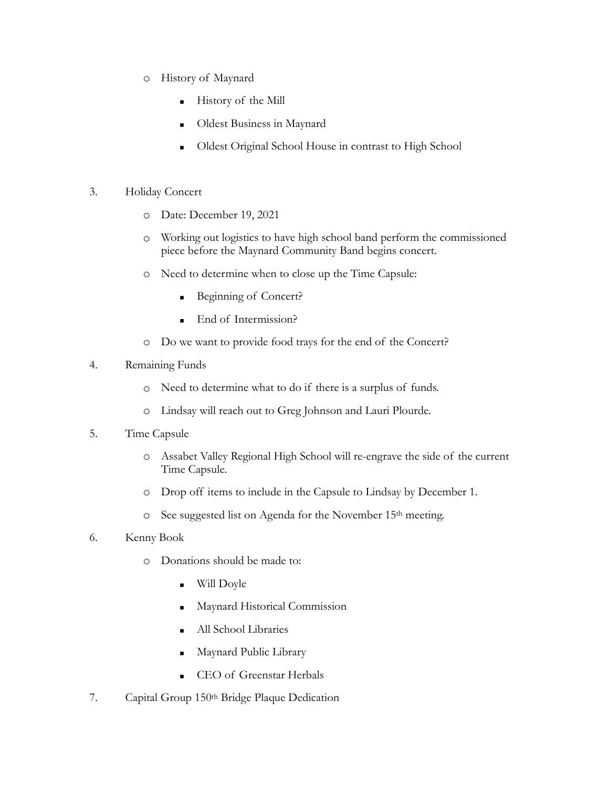- o History of Maynard
	- **Exercise** History of the Mill
	- Oldest Business in Maynard
	- Oldest Original School House in contrast to High School
- 3. Holiday Concert
	- o Date: December 19, 2021
	- o Working out logistics to have high school band perform the commissioned piece before the Maynard Community Band begins concert.
	- o Need to determine when to close up the Time Capsule:
		- Beginning of Concert?
		- End of Intermission?
	- o Do we want to provide food trays for the end of the Concert?
- 4. Remaining Funds
	- o Need to determine what to do if there is a surplus of funds.
	- o Lindsay will reach out to Greg Johnson and Lauri Plourde.
- 5. Time Capsule
	- o Assabet Valley Regional High School will re-engrave the side of the current Time Capsule.
	- o Drop off items to include in the Capsule to Lindsay by December 1.
	- o See suggested list on Agenda for the November 15th meeting.
- 6. Kenny Book
	- o Donations should be made to:
		- Will Doyle
		- Maynard Historical Commission
		- All School Libraries
		- Maynard Public Library
		- CEO of Greenstar Herbals
- 7. Capital Group 150th Bridge Plaque Dedication